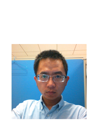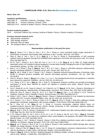# **CURRICULUM VITAE of Dr. Zhou Xin (Zhouxin@impcas.ac.cn)**

# **Name: Zhou Xin**

### **Academic qualifications:**

2001-2005 B. Southwest University, Chongqing, China 2005-2008 M. Sichuan University, Sichuan, China 2009-2012 Ph.D Institute of Modern Physics, Chinese Academy of Sciences, Lanzhou, China

### **Present academic position:**

2014- Associate Professor (By courtesy) Institute of Modern Physics, Chinese Academy of Sciences

# **Previous relevant research work:**

- Mitochondrial metabolism
- DNA damage response
- Molecular basis of Aging
- The biological effects of quantum dots

### **Representative publication in the past five years**

- 1. **Zhou X**, Wang Y, Si J, Zhou R, Gan L, Di C, Xie Y, Zhang H. Laser controlled singlet oxygen generation in mitochondria to promote mitochondrial DNA replication in vitro. Sci Rep. 2015 Nov 18;5:16925.
- 2. Zhao Q, Mao A, Yan J, Sun C, Di C, **Zhou X**, Li H, Guo R, Zhang H. Downregulation of Nrf2 promotes radiation-induced apoptosis through Nrf2 mediated Notch signaling in non-small cell lung cancer cells. Int J Oncol. 2016 Feb;48(2):765-73.
- 3. Di CX, Han L, Zhang H, Xu S, Mao AH, Sun C, Liu Y, Si J, Li HY, **Zhou X**, Liu B, Miao GY. Diallyl disulfide attenuated carbon ion irradiation-induced apoptosis in mouse testis through changing the ratio of Tap73/ΔNp73 via mitochondrial pathway. Sci Rep. 2015 Nov 3;5:16020.
- 4. Mao A, Liu Y, Wang Y, Zhao Q, **Zhou X**, Sun C, Di C, Si J, Gan L, Zhang H. miR-449a enhances radiosensitivity through modulating pRb/E2F1 in prostate cancer cells. Tumour Biol. 2015 Oct 31.
- 5. **Zhou X**, Ma X, Wang Z, Sun C, Wang Y, He Y, Zhang H. Radiation-induced hyperproliferation of intestinal crypts results in elevated genome instability with inactive p53-related genomic surveillance. Life Sci. 2015 Dec 15;143:80-8.
- 6. Zhou R, Zhang H, Wang Z, **Zhou X**, Si J, Gan L, Li J, Liu Y. The developmental toxicity and apoptosis in zebrafish eyes induced by carbon-ion irradiation. Life Sci. 2015 Oct 15;139:114-22.
- 7. Li H, Zhang H, Di C, Xie Y, **Zhou X**, Yan J, Zhao Q. Comparative proteomic profiling and possible toxicological mechanism of acute injury induced by carbon ion radiation in pubertal mice testes. Reprod Toxicol. 2015 Dec;58:45-53.
- 8. Sun C, Wang ZH, Liu XX, Yang LN, Wang Y, Liu Y, Mao AH, Liu YY, **Zhou X**, Di CX, Gan L, Zhang H. Disturbance of redox status enhances radiosensitivity of hepatocellular carcinoma. Am J Cancer Res. 2015 Mar 15;5(4):1368-81.
- 9. Wang ZG, Zhou R, Jiang D, Song JE, Xu Q, Si J, Chen YP, **Zhou X**, Gan L, Li JZ, Zhang H, Liu B. Toxicity of Graphene Quantum Dots in Zebrafish Embryo. Biomed Environ Sci. 2015 May;28(5):341-51.
- 10. Wang Y, Sun C, Mao A, Zhang X, **Zhou X**, Wang Z, Zhang H. Radiosensitization to X-ray radiation by telomerase inhibitor MST-312 in human hepatoma HepG2 cells. Life Sci. 2015 Feb 15;123:43-50.
- 11. Liu Y, Zhang L, Liu Y, Sun C, Zhang H, Miao G, Di CX, **Zhou X**, Zhou R, Wang Z. DNA-PKcs deficiency inhibits glioblastoma cell-derived angiogenesis after ionizing radiation. J Cell Physiol. 2015 May;230(5):1094-103.
- 12. Xie Y, Zhao QY, Li HY, **Zhou X**, Liu Y, Zhang H. Curcumin ameliorates cognitive deficits heavy ion irradiation-induced learning and memory deficits through enhancing of Nrf2 antioxidant signaling pathways. Pharmacol Biochem Behav. 2014 Nov;126:181-6.
- 13. **Zhou X**, Zhao Y, Zhou R, Zhang H. Suppression of E. multilocularis hydatid cysts after ionizing radiation exposure. PLoS Negl Trop Dis. 2013 Oct 24;7(10):e2518.
- 14. Li HY, Zhang H, Miao GY, Xie Y, Sun C, Di CX, Liu Y, Liu YY, Zhang X, Ma XF, Xu S, Gan L, **Zhou X**. Simulated microgravity conditions and carbon ion irradiation induce spermatogenic cell apoptosis and sperm DNA damage. Biomed Environ Sci. 2013 Sep;26(9):726-34.
- 15. **Zhou X**, Zhang X, Xie Y, Tanaka K, Wang B, Zhang H. DNA-PKcs inhibition sensitizes cancer cells to carbon-ion irradiation via telomere capping disruption. PLoS One. 2013 Aug 27;8(8):e72641.
- 16. **Zhou X**, Liu X, Zhang X, Zhou R, He Y, Li Q, Wang Z, Zhang H. Non-randomized mtDNA damage after ionizing radiation via charge transport. Sci Rep. 2012;2:780.
- 17. Sun C, Zhang H, Ma XF, **Zhou X**, Gan L, Liu YY, Wang ZH. Isoliquiritigenin enhances radiosensitivity of HepG2 cells via disturbance of redox status. Cell Biochem Biophys. 2013 Apr;65(3):433-44.
- 18. Zhang X, **Zhou X**, Chen R, Zhang H. Radiosensitization by inhibiting complex I activity in human hepatoma HepG2 cells to X-ray radiation. J Radiat Res. 2012;53(2):257-63.